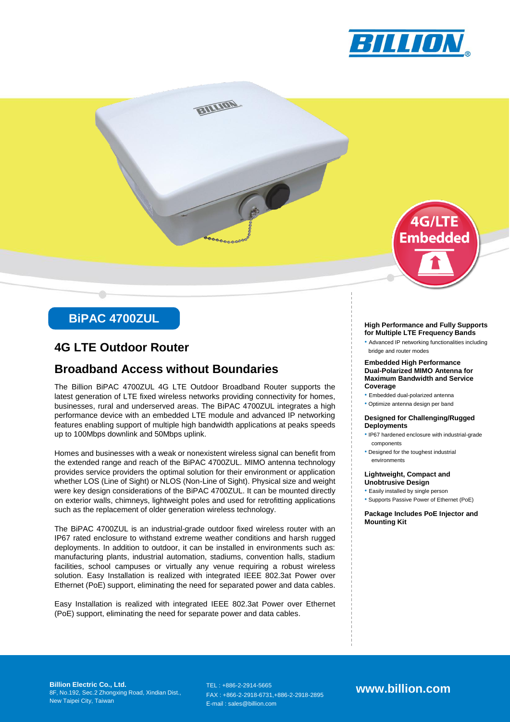



# **BiPAC 4700ZUL**

### **4G LTE Outdoor Router**

### **Broadband Access without Boundaries**

The Billion BiPAC 4700ZUL 4G LTE Outdoor Broadband Router supports the latest generation of LTE fixed wireless networks providing connectivity for homes, businesses, rural and underserved areas. The BiPAC 4700ZUL integrates a high performance device with an embedded LTE module and advanced IP networking features enabling support of multiple high bandwidth applications at peaks speeds up to 100Mbps downlink and 50Mbps uplink.

Homes and businesses with a weak or nonexistent wireless signal can benefit from the extended range and reach of the BiPAC 4700ZUL. MIMO antenna technology provides service providers the optimal solution for their environment or application whether LOS (Line of Sight) or NLOS (Non-Line of Sight). Physical size and weight were key design considerations of the BiPAC 4700ZUL. It can be mounted directly on exterior walls, chimneys, lightweight poles and used for retrofitting applications such as the replacement of older generation wireless technology.

The BiPAC 4700ZUL is an industrial-grade outdoor fixed wireless router with an IP67 rated enclosure to withstand extreme weather conditions and harsh rugged deployments. In addition to outdoor, it can be installed in environments such as: manufacturing plants, industrial automation, stadiums, convention halls, stadium facilities, school campuses or virtually any venue requiring a robust wireless solution. Easy Installation is realized with integrated IEEE 802.3at Power over Ethernet (PoE) support, eliminating the need for separated power and data cables.

Easy Installation is realized with integrated IEEE 802.3at Power over Ethernet (PoE) support, eliminating the need for separate power and data cables.

#### **High Performance and Fully Supports for Multiple LTE Frequency Bands**

• Advanced IP networking functionalities including bridge and router modes

#### **Embedded High Performance Dual-Polarized MIMO Antenna for Maximum Bandwidth and Service Coverage**

- Embedded dual-polarized antenna
- Optimize antenna design per band

#### **Designed for Challenging/Rugged Deployments**

- IP67 hardened enclosure with industrial-grade components
- Designed for the toughest industrial environments

#### **Lightweight, Compact and Unobtrusive Design**

• Easily installed by single person

• Supports Passive Power of Ethernet (PoE)

**Package Includes PoE Injector and Mounting Kit**

**Billion Electric Co., Ltd.** 8F, No.192, Sec.2 Zhongxing Road, Xindian Dist., New Taipei City, Taiwan

TEL : +886-2-2914-5665 FAX : +866-2-2918-6731,+886-2-2918-2895 E-mail : sales@billion.com

**www.billion.com**